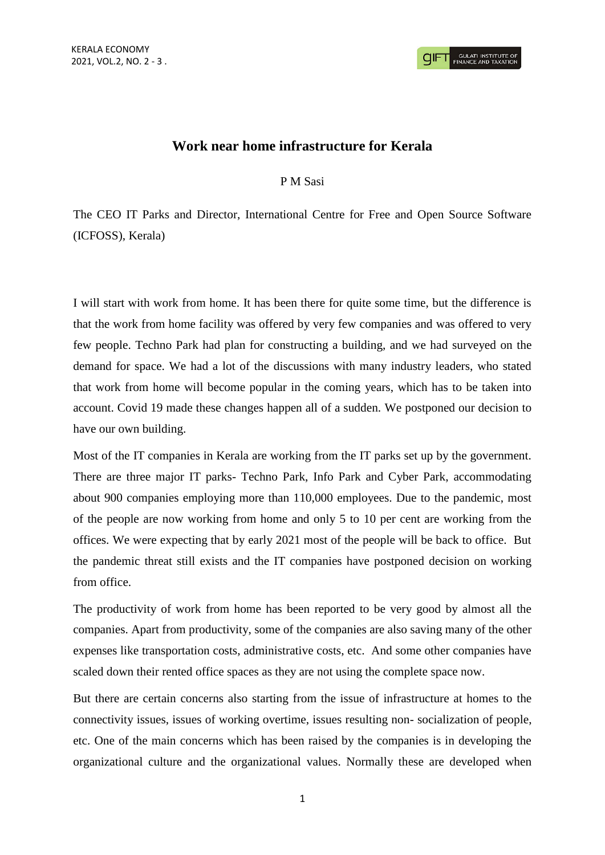## **Work near home infrastructure for Kerala**

P M Sasi

The CEO IT Parks and Director, International Centre for Free and Open Source Software (ICFOSS), Kerala)

I will start with work from home. It has been there for quite some time, but the difference is that the work from home facility was offered by very few companies and was offered to very few people. Techno Park had plan for constructing a building, and we had surveyed on the demand for space. We had a lot of the discussions with many industry leaders, who stated that work from home will become popular in the coming years, which has to be taken into account. Covid 19 made these changes happen all of a sudden. We postponed our decision to have our own building.

Most of the IT companies in Kerala are working from the IT parks set up by the government. There are three major IT parks- Techno Park, Info Park and Cyber Park, accommodating about 900 companies employing more than 110,000 employees. Due to the pandemic, most of the people are now working from home and only 5 to 10 per cent are working from the offices. We were expecting that by early 2021 most of the people will be back to office. But the pandemic threat still exists and the IT companies have postponed decision on working from office.

The productivity of work from home has been reported to be very good by almost all the companies. Apart from productivity, some of the companies are also saving many of the other expenses like transportation costs, administrative costs, etc. And some other companies have scaled down their rented office spaces as they are not using the complete space now.

But there are certain concerns also starting from the issue of infrastructure at homes to the connectivity issues, issues of working overtime, issues resulting non- socialization of people, etc. One of the main concerns which has been raised by the companies is in developing the organizational culture and the organizational values. Normally these are developed when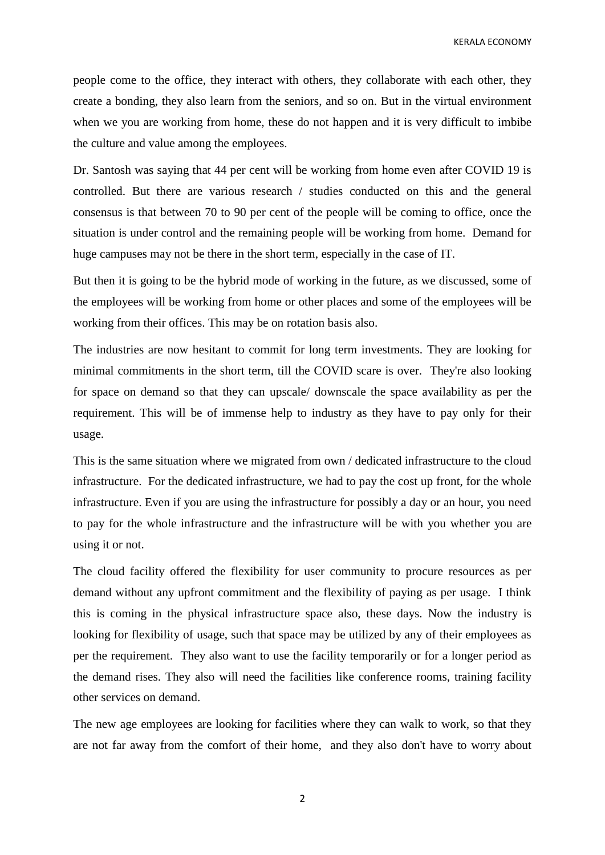KERALA ECONOMY

people come to the office, they interact with others, they collaborate with each other, they create a bonding, they also learn from the seniors, and so on. But in the virtual environment when we you are working from home, these do not happen and it is very difficult to imbibe the culture and value among the employees.

Dr. Santosh was saying that 44 per cent will be working from home even after COVID 19 is controlled. But there are various research / studies conducted on this and the general consensus is that between 70 to 90 per cent of the people will be coming to office, once the situation is under control and the remaining people will be working from home. Demand for huge campuses may not be there in the short term, especially in the case of IT.

But then it is going to be the hybrid mode of working in the future, as we discussed, some of the employees will be working from home or other places and some of the employees will be working from their offices. This may be on rotation basis also.

The industries are now hesitant to commit for long term investments. They are looking for minimal commitments in the short term, till the COVID scare is over. They're also looking for space on demand so that they can upscale/ downscale the space availability as per the requirement. This will be of immense help to industry as they have to pay only for their usage.

This is the same situation where we migrated from own / dedicated infrastructure to the cloud infrastructure. For the dedicated infrastructure, we had to pay the cost up front, for the whole infrastructure. Even if you are using the infrastructure for possibly a day or an hour, you need to pay for the whole infrastructure and the infrastructure will be with you whether you are using it or not.

The cloud facility offered the flexibility for user community to procure resources as per demand without any upfront commitment and the flexibility of paying as per usage. I think this is coming in the physical infrastructure space also, these days. Now the industry is looking for flexibility of usage, such that space may be utilized by any of their employees as per the requirement. They also want to use the facility temporarily or for a longer period as the demand rises. They also will need the facilities like conference rooms, training facility other services on demand.

The new age employees are looking for facilities where they can walk to work, so that they are not far away from the comfort of their home, and they also don't have to worry about

2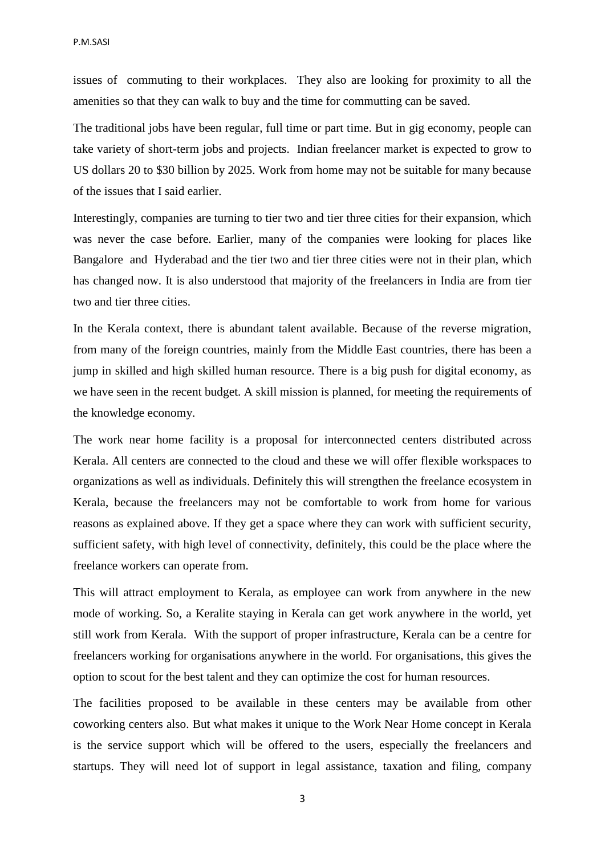issues of commuting to their workplaces. They also are looking for proximity to all the amenities so that they can walk to buy and the time for commutting can be saved.

The traditional jobs have been regular, full time or part time. But in gig economy, people can take variety of short-term jobs and projects. Indian freelancer market is expected to grow to US dollars 20 to \$30 billion by 2025. Work from home may not be suitable for many because of the issues that I said earlier.

Interestingly, companies are turning to tier two and tier three cities for their expansion, which was never the case before. Earlier, many of the companies were looking for places like Bangalore and Hyderabad and the tier two and tier three cities were not in their plan, which has changed now. It is also understood that majority of the freelancers in India are from tier two and tier three cities.

In the Kerala context, there is abundant talent available. Because of the reverse migration, from many of the foreign countries, mainly from the Middle East countries, there has been a jump in skilled and high skilled human resource. There is a big push for digital economy, as we have seen in the recent budget. A skill mission is planned, for meeting the requirements of the knowledge economy.

The work near home facility is a proposal for interconnected centers distributed across Kerala. All centers are connected to the cloud and these we will offer flexible workspaces to organizations as well as individuals. Definitely this will strengthen the freelance ecosystem in Kerala, because the freelancers may not be comfortable to work from home for various reasons as explained above. If they get a space where they can work with sufficient security, sufficient safety, with high level of connectivity, definitely, this could be the place where the freelance workers can operate from.

This will attract employment to Kerala, as employee can work from anywhere in the new mode of working. So, a Keralite staying in Kerala can get work anywhere in the world, yet still work from Kerala. With the support of proper infrastructure, Kerala can be a centre for freelancers working for organisations anywhere in the world. For organisations, this gives the option to scout for the best talent and they can optimize the cost for human resources.

The facilities proposed to be available in these centers may be available from other coworking centers also. But what makes it unique to the Work Near Home concept in Kerala is the service support which will be offered to the users, especially the freelancers and startups. They will need lot of support in legal assistance, taxation and filing, company

3